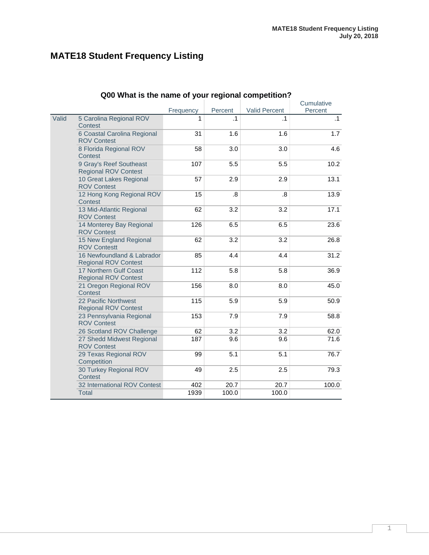## **MATE18 Student Frequency Listing**

|       | Quu what is the name of your regional competition?        |           |           |                      |                       |
|-------|-----------------------------------------------------------|-----------|-----------|----------------------|-----------------------|
|       |                                                           | Frequency | Percent   | <b>Valid Percent</b> | Cumulative<br>Percent |
| Valid | 5 Carolina Regional ROV<br>Contest                        | 1         | $\cdot$ 1 | $\cdot$ 1            | $\cdot$ 1             |
|       | 6 Coastal Carolina Regional<br><b>ROV Contest</b>         | 31        | 1.6       | 1.6                  | 1.7                   |
|       | 8 Florida Regional ROV<br>Contest                         | 58        | 3.0       | 3.0                  | 4.6                   |
|       | 9 Gray's Reef Southeast<br><b>Regional ROV Contest</b>    | 107       | 5.5       | 5.5                  | 10.2                  |
|       | 10 Great Lakes Regional<br><b>ROV Contest</b>             | 57        | 2.9       | 2.9                  | 13.1                  |
|       | 12 Hong Kong Regional ROV<br>Contest                      | 15        | 8.5       | $\boldsymbol{.8}$    | 13.9                  |
|       | 13 Mid-Atlantic Regional<br><b>ROV Contest</b>            | 62        | 3.2       | 3.2                  | 17.1                  |
|       | 14 Monterey Bay Regional<br><b>ROV Contest</b>            | 126       | 6.5       | 6.5                  | 23.6                  |
|       | 15 New England Regional<br><b>ROV Contestt</b>            | 62        | 3.2       | 3.2                  | 26.8                  |
|       | 16 Newfoundland & Labrador<br><b>Regional ROV Contest</b> | 85        | 4.4       | 4.4                  | 31.2                  |
|       | 17 Northern Gulf Coast<br><b>Regional ROV Contest</b>     | 112       | 5.8       | 5.8                  | 36.9                  |
|       | 21 Oregon Regional ROV<br>Contest                         | 156       | 8.0       | 8.0                  | 45.0                  |
|       | 22 Pacific Northwest<br><b>Regional ROV Contest</b>       | 115       | 5.9       | 5.9                  | 50.9                  |
|       | 23 Pennsylvania Regional<br><b>ROV Contest</b>            | 153       | 7.9       | 7.9                  | 58.8                  |
|       | 26 Scotland ROV Challenge                                 | 62        | 3.2       | 3.2                  | 62.0                  |
|       | 27 Shedd Midwest Regional<br><b>ROV Contest</b>           | 187       | 9.6       | 9.6                  | 71.6                  |
|       | 29 Texas Regional ROV<br>Competition                      | 99        | 5.1       | 5.1                  | 76.7                  |
|       | 30 Turkey Regional ROV<br>Contest                         | 49        | 2.5       | 2.5                  | 79.3                  |
|       | 32 International ROV Contest                              | 402       | 20.7      | 20.7                 | 100.0                 |
|       | <b>Total</b>                                              | 1939      | 100.0     | 100.0                |                       |

#### **Q00 What is the name of your regional competition?**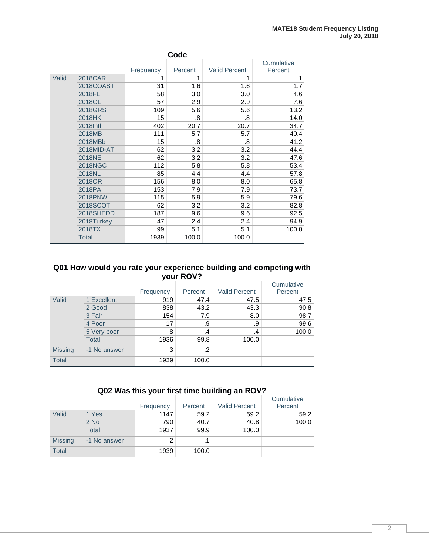|       | Code           |           |         |                      |            |  |  |  |  |
|-------|----------------|-----------|---------|----------------------|------------|--|--|--|--|
|       |                |           |         |                      | Cumulative |  |  |  |  |
|       |                | Frequency | Percent | <b>Valid Percent</b> | Percent    |  |  |  |  |
| Valid | 2018CAR        | 1         | .1      | .1                   | $\cdot$ 1  |  |  |  |  |
|       | 2018COAST      | 31        | 1.6     | 1.6                  | 1.7        |  |  |  |  |
|       | 2018FL         | 58        | 3.0     | 3.0                  | 4.6        |  |  |  |  |
|       | 2018GL         | 57        | 2.9     | 2.9                  | 7.6        |  |  |  |  |
|       | 2018GRS        | 109       | 5.6     | 5.6                  | 13.2       |  |  |  |  |
|       | 2018HK         | 15        | .8      | .8                   | 14.0       |  |  |  |  |
|       | 2018Intl       | 402       | 20.7    | 20.7                 | 34.7       |  |  |  |  |
|       | 2018MB         | 111       | 5.7     | 5.7                  | 40.4       |  |  |  |  |
|       | 2018MBb        | 15        | .8      | .8                   | 41.2       |  |  |  |  |
|       | 2018MID-AT     | 62        | 3.2     | 3.2                  | 44.4       |  |  |  |  |
|       | 2018NE         | 62        | 3.2     | 3.2                  | 47.6       |  |  |  |  |
|       | <b>2018NGC</b> | 112       | 5.8     | 5.8                  | 53.4       |  |  |  |  |
|       | 2018NL         | 85        | 4.4     | 4.4                  | 57.8       |  |  |  |  |
|       | 2018OR         | 156       | 8.0     | 8.0                  | 65.8       |  |  |  |  |
|       | 2018PA         | 153       | 7.9     | 7.9                  | 73.7       |  |  |  |  |
|       | 2018PNW        | 115       | 5.9     | 5.9                  | 79.6       |  |  |  |  |
|       | 2018SCOT       | 62        | 3.2     | 3.2                  | 82.8       |  |  |  |  |
|       | 2018SHEDD      | 187       | 9.6     | 9.6                  | 92.5       |  |  |  |  |
|       | 2018Turkey     | 47        | 2.4     | 2.4                  | 94.9       |  |  |  |  |
|       | 2018TX         | 99        | 5.1     | 5.1                  | 100.0      |  |  |  |  |
|       | Total          | 1939      | 100.0   | 100.0                |            |  |  |  |  |

#### **Q01 How would you rate your experience building and competing with your ROV?**

|                |              |           |         |                      | Cumulative |
|----------------|--------------|-----------|---------|----------------------|------------|
|                |              | Frequency | Percent | <b>Valid Percent</b> | Percent    |
| Valid          | 1 Excellent  | 919       | 47.4    | 47.5                 | 47.5       |
|                | 2 Good       | 838       | 43.2    | 43.3                 | 90.8       |
|                | 3 Fair       | 154       | 7.9     | 8.0                  | 98.7       |
|                | 4 Poor       | 17        | .9      | .9                   | 99.6       |
|                | 5 Very poor  | 8         | .4      | $\mathcal{A}$        | 100.0      |
|                | <b>Total</b> | 1936      | 99.8    | 100.0                |            |
| <b>Missing</b> | -1 No answer | 3         | .2      |                      |            |
| <b>Total</b>   |              | 1939      | 100.0   |                      |            |

## **Q02 Was this your first time building an ROV?**

|                |              |           |         |                      | Cumulative |
|----------------|--------------|-----------|---------|----------------------|------------|
|                |              | Frequency | Percent | <b>Valid Percent</b> | Percent    |
| Valid          | 1 Yes        | 1147      | 59.2    | 59.2                 | 59.2       |
|                | $2$ No       | 790       | 40.7    | 40.8                 | 100.0      |
|                | <b>Total</b> | 1937      | 99.9    | 100.0                |            |
| <b>Missing</b> | -1 No answer | 2         | .1      |                      |            |
| <b>Total</b>   |              | 1939      | 100.0   |                      |            |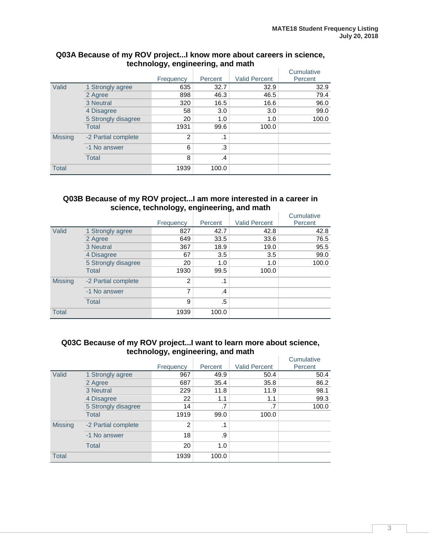|                |                     |                |           |                      | Cumulative |
|----------------|---------------------|----------------|-----------|----------------------|------------|
|                |                     | Frequency      | Percent   | <b>Valid Percent</b> | Percent    |
| Valid          | 1 Strongly agree    | 635            | 32.7      | 32.9                 | 32.9       |
|                | 2 Agree             | 898            | 46.3      | 46.5                 | 79.4       |
|                | 3 Neutral           | 320            | 16.5      | 16.6                 | 96.0       |
|                | 4 Disagree          | 58             | 3.0       | 3.0                  | 99.0       |
|                | 5 Strongly disagree | 20             | 1.0       | 1.0                  | 100.0      |
|                | Total               | 1931           | 99.6      | 100.0                |            |
| <b>Missing</b> | -2 Partial complete | $\overline{2}$ | $\cdot$ 1 |                      |            |
|                | -1 No answer        | 6              | .3        |                      |            |
|                | <b>Total</b>        | 8              | .4        |                      |            |
| <b>Total</b>   |                     | 1939           | 100.0     |                      |            |

#### **Q03A Because of my ROV project...I know more about careers in science, technology, engineering, and math**

#### **Q03B Because of my ROV project...I am more interested in a career in science, technology, engineering, and math**

|                |                     | Frequency | Percent       | <b>Valid Percent</b> | Cumulative<br>Percent |
|----------------|---------------------|-----------|---------------|----------------------|-----------------------|
| Valid          | 1 Strongly agree    | 827       | 42.7          | 42.8                 | 42.8                  |
|                | 2 Agree             | 649       | 33.5          | 33.6                 | 76.5                  |
|                | 3 Neutral           | 367       | 18.9          | 19.0                 | 95.5                  |
|                | 4 Disagree          | 67        | 3.5           | 3.5                  | 99.0                  |
|                | 5 Strongly disagree | 20        | 1.0           | 1.0                  | 100.0                 |
|                | <b>Total</b>        | 1930      | 99.5          | 100.0                |                       |
| <b>Missing</b> | -2 Partial complete | 2         | $\cdot$ 1     |                      |                       |
|                | -1 No answer        | 7         | $\mathcal{A}$ |                      |                       |
|                | <b>Total</b>        | 9         | .5            |                      |                       |
| <b>Total</b>   |                     | 1939      | 100.0         |                      |                       |

#### **Q03C Because of my ROV project...I want to learn more about science, technology, engineering, and math**

|                |                     |                |         |                      | Cumulative |
|----------------|---------------------|----------------|---------|----------------------|------------|
|                |                     | Frequency      | Percent | <b>Valid Percent</b> | Percent    |
| Valid          | 1 Strongly agree    | 967            | 49.9    | 50.4                 | 50.4       |
|                | 2 Agree             | 687            | 35.4    | 35.8                 | 86.2       |
|                | 3 Neutral           | 229            | 11.8    | 11.9                 | 98.1       |
|                | 4 Disagree          | 22             | 1.1     | 1.1                  | 99.3       |
|                | 5 Strongly disagree | 14             | .7      | .7                   | 100.0      |
|                | <b>Total</b>        | 1919           | 99.0    | 100.0                |            |
| <b>Missing</b> | -2 Partial complete | $\overline{2}$ | .1      |                      |            |
|                | -1 No answer        | 18             | .9      |                      |            |
|                | <b>Total</b>        | 20             | 1.0     |                      |            |
| <b>Total</b>   |                     | 1939           | 100.0   |                      |            |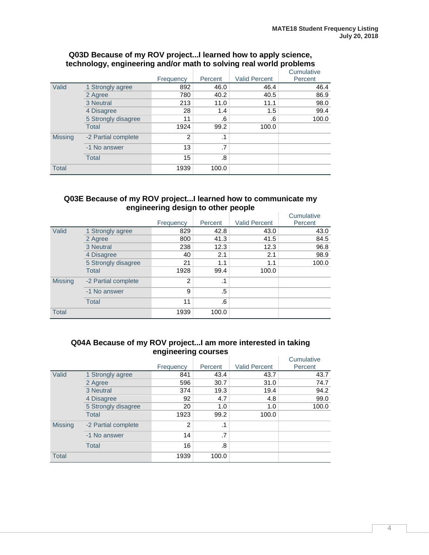|                |                     |           |           |                      | Cumulative |
|----------------|---------------------|-----------|-----------|----------------------|------------|
|                |                     | Frequency | Percent   | <b>Valid Percent</b> | Percent    |
| Valid          | 1 Strongly agree    | 892       | 46.0      | 46.4                 | 46.4       |
|                | 2 Agree             | 780       | 40.2      | 40.5                 | 86.9       |
|                | 3 Neutral           | 213       | 11.0      | 11.1                 | 98.0       |
|                | 4 Disagree          | 28        | 1.4       | 1.5                  | 99.4       |
|                | 5 Strongly disagree | 11        | .6        | .6                   | 100.0      |
|                | <b>Total</b>        | 1924      | 99.2      | 100.0                |            |
| <b>Missing</b> | -2 Partial complete | 2         | $\cdot$ 1 |                      |            |
|                | -1 No answer        | 13        | .7        |                      |            |
|                | <b>Total</b>        | 15        | .8        |                      |            |
| <b>Total</b>   |                     | 1939      | 100.0     |                      |            |

#### **Q03D Because of my ROV project...I learned how to apply science, technology, engineering and/or math to solving real world problems**

#### **Q03E Because of my ROV project...I learned how to communicate my engineering design to other people**

|                |                     | Frequency | Percent   | <b>Valid Percent</b> | Cumulative<br>Percent |
|----------------|---------------------|-----------|-----------|----------------------|-----------------------|
| Valid          | 1 Strongly agree    | 829       | 42.8      | 43.0                 | 43.0                  |
|                | 2 Agree             | 800       | 41.3      | 41.5                 | 84.5                  |
|                | 3 Neutral           | 238       | 12.3      | 12.3                 | 96.8                  |
|                | 4 Disagree          | 40        | 2.1       | 2.1                  | 98.9                  |
|                | 5 Strongly disagree | 21        | 1.1       | 1.1                  | 100.0                 |
|                | <b>Total</b>        | 1928      | 99.4      | 100.0                |                       |
| <b>Missing</b> | -2 Partial complete | 2         | $\cdot$ 1 |                      |                       |
|                | -1 No answer        | 9         | .5        |                      |                       |
|                | <b>Total</b>        | 11        | .6        |                      |                       |
| <b>Total</b>   |                     | 1939      | 100.0     |                      |                       |

#### **Q04A Because of my ROV project...I am more interested in taking engineering courses**

|                |                     |           |           |                      | Cumulative |
|----------------|---------------------|-----------|-----------|----------------------|------------|
|                |                     | Frequency | Percent   | <b>Valid Percent</b> | Percent    |
| Valid          | 1 Strongly agree    | 841       | 43.4      | 43.7                 | 43.7       |
|                | 2 Agree             | 596       | 30.7      | 31.0                 | 74.7       |
|                | 3 Neutral           | 374       | 19.3      | 19.4                 | 94.2       |
|                | 4 Disagree          | 92        | 4.7       | 4.8                  | 99.0       |
|                | 5 Strongly disagree | 20        | 1.0       | 1.0                  | 100.0      |
|                | <b>Total</b>        | 1923      | 99.2      | 100.0                |            |
| <b>Missing</b> | -2 Partial complete | 2         | $\cdot$ 1 |                      |            |
|                | -1 No answer        | 14        | .7        |                      |            |
|                | <b>Total</b>        | 16        | .8        |                      |            |
| <b>Total</b>   |                     | 1939      | 100.0     |                      |            |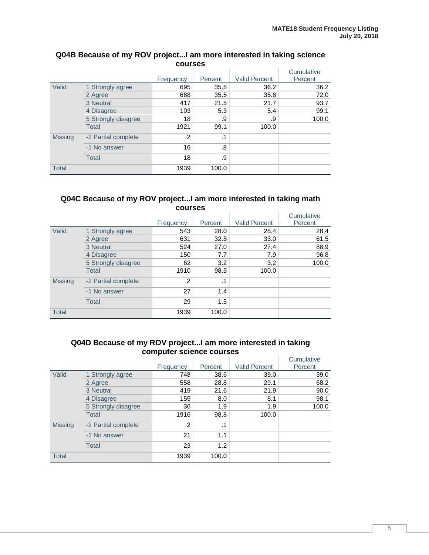| <b>courses</b> |                     |           |           |                      |            |  |  |
|----------------|---------------------|-----------|-----------|----------------------|------------|--|--|
|                |                     |           |           |                      | Cumulative |  |  |
|                |                     | Frequency | Percent   | <b>Valid Percent</b> | Percent    |  |  |
| Valid          | 1 Strongly agree    | 695       | 35.8      | 36.2                 | 36.2       |  |  |
|                | 2 Agree             | 688       | 35.5      | 35.8                 | 72.0       |  |  |
|                | 3 Neutral           | 417       | 21.5      | 21.7                 | 93.7       |  |  |
|                | 4 Disagree          | 103       | 5.3       | 5.4                  | 99.1       |  |  |
|                | 5 Strongly disagree | 18        | .9        | .9                   | 100.0      |  |  |
|                | <b>Total</b>        | 1921      | 99.1      | 100.0                |            |  |  |
| <b>Missing</b> | -2 Partial complete | 2         | $\cdot$ 1 |                      |            |  |  |
|                | -1 No answer        | 16        | .8        |                      |            |  |  |
|                | <b>Total</b>        | 18        | .9        |                      |            |  |  |
| <b>Total</b>   |                     | 1939      | 100.0     |                      |            |  |  |

## **Q04B Because of my ROV project...I am more interested in taking science**

#### **Q04C Because of my ROV project...I am more interested in taking math courses**

|                |                     |           |           |                      | Cumulative |
|----------------|---------------------|-----------|-----------|----------------------|------------|
|                |                     | Frequency | Percent   | <b>Valid Percent</b> | Percent    |
| Valid          | 1 Strongly agree    | 543       | 28.0      | 28.4                 | 28.4       |
|                | 2 Agree             | 631       | 32.5      | 33.0                 | 61.5       |
|                | 3 Neutral           | 524       | 27.0      | 27.4                 | 88.9       |
|                | 4 Disagree          | 150       | 7.7       | 7.9                  | 96.8       |
|                | 5 Strongly disagree | 62        | 3.2       | 3.2                  | 100.0      |
|                | <b>Total</b>        | 1910      | 98.5      | 100.0                |            |
| <b>Missing</b> | -2 Partial complete | 2         | $\cdot$ 1 |                      |            |
|                | -1 No answer        | 27        | 1.4       |                      |            |
|                | Total               | 29        | 1.5       |                      |            |
| <b>Total</b>   |                     | 1939      | 100.0     |                      |            |

#### **Q04D Because of my ROV project...I am more interested in taking computer science courses**

|                |                     | Frequency | Percent   | <b>Valid Percent</b> | Cumulative<br>Percent |
|----------------|---------------------|-----------|-----------|----------------------|-----------------------|
| Valid          | 1 Strongly agree    | 748       | 38.6      | 39.0                 | 39.0                  |
|                | 2 Agree             | 558       | 28.8      | 29.1                 | 68.2                  |
|                | 3 Neutral           | 419       | 21.6      | 21.9                 | 90.0                  |
|                | 4 Disagree          | 155       | 8.0       | 8.1                  | 98.1                  |
|                | 5 Strongly disagree | 36        | 1.9       | 1.9                  | 100.0                 |
|                | <b>Total</b>        | 1916      | 98.8      | 100.0                |                       |
| <b>Missing</b> | -2 Partial complete | 2         | $\cdot$ 1 |                      |                       |
|                | -1 No answer        | 21        | 1.1       |                      |                       |
|                | <b>Total</b>        | 23        | 1.2       |                      |                       |
| <b>Total</b>   |                     | 1939      | 100.0     |                      |                       |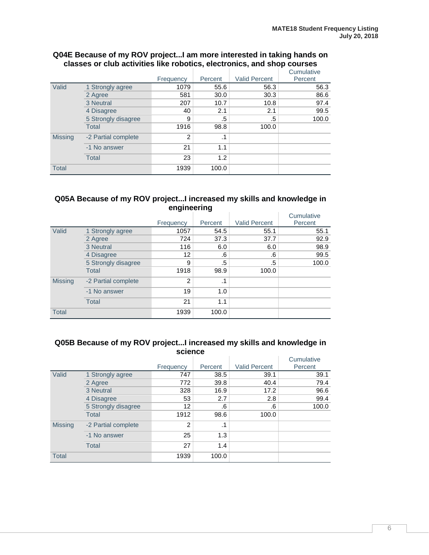|                |                     | Frequency | Percent | <b>Valid Percent</b> | Cumulative<br>Percent |
|----------------|---------------------|-----------|---------|----------------------|-----------------------|
| Valid          | 1 Strongly agree    | 1079      | 55.6    | 56.3                 | 56.3                  |
|                | 2 Agree             | 581       | 30.0    | 30.3                 | 86.6                  |
|                | 3 Neutral           | 207       | 10.7    | 10.8                 | 97.4                  |
|                | 4 Disagree          | 40        | 2.1     | 2.1                  | 99.5                  |
|                | 5 Strongly disagree | 9         | .5      | .5                   | 100.0                 |
|                | <b>Total</b>        | 1916      | 98.8    | 100.0                |                       |
| <b>Missing</b> | -2 Partial complete | 2         | .1      |                      |                       |
|                | -1 No answer        | 21        | 1.1     |                      |                       |
|                | <b>Total</b>        | 23        | 1.2     |                      |                       |
| <b>Total</b>   |                     | 1939      | 100.0   |                      |                       |

#### **Q04E Because of my ROV project...I am more interested in taking hands on classes or club activities like robotics, electronics, and shop courses**

#### **Q05A Because of my ROV project...I increased my skills and knowledge in engineering**

|                |                     | Frequency     | Percent   | <b>Valid Percent</b> | Cumulative<br>Percent |
|----------------|---------------------|---------------|-----------|----------------------|-----------------------|
|                |                     |               |           |                      |                       |
| Valid          | 1 Strongly agree    | 1057          | 54.5      | 55.1                 | 55.1                  |
|                | 2 Agree             | 724           | 37.3      | 37.7                 | 92.9                  |
|                | 3 Neutral           | 116           | 6.0       | 6.0                  | 98.9                  |
|                | 4 Disagree          | 12            | .6        | .6                   | 99.5                  |
|                | 5 Strongly disagree | 9             | .5        | .5                   | 100.0                 |
|                | <b>Total</b>        | 1918          | 98.9      | 100.0                |                       |
| <b>Missing</b> | -2 Partial complete | $\mathcal{P}$ | $\cdot$ 1 |                      |                       |
|                | -1 No answer        | 19            | 1.0       |                      |                       |
|                | <b>Total</b>        | 21            | 1.1       |                      |                       |
| <b>Total</b>   |                     | 1939          | 100.0     |                      |                       |

#### **Q05B Because of my ROV project...I increased my skills and knowledge in science**

|                |                     | Frequency | Percent   | <b>Valid Percent</b> | Cumulative<br>Percent |
|----------------|---------------------|-----------|-----------|----------------------|-----------------------|
| Valid          | 1 Strongly agree    | 747       | 38.5      | 39.1                 | 39.1                  |
|                | 2 Agree             | 772       | 39.8      | 40.4                 | 79.4                  |
|                | 3 Neutral           | 328       | 16.9      | 17.2                 | 96.6                  |
|                | 4 Disagree          | 53        | 2.7       | 2.8                  | 99.4                  |
|                | 5 Strongly disagree | 12        | .6        | .6                   | 100.0                 |
|                | <b>Total</b>        | 1912      | 98.6      | 100.0                |                       |
| <b>Missing</b> | -2 Partial complete | 2         | $\cdot$ 1 |                      |                       |
|                | -1 No answer        | 25        | 1.3       |                      |                       |
|                | <b>Total</b>        | 27        | 1.4       |                      |                       |
| <b>Total</b>   |                     | 1939      | 100.0     |                      |                       |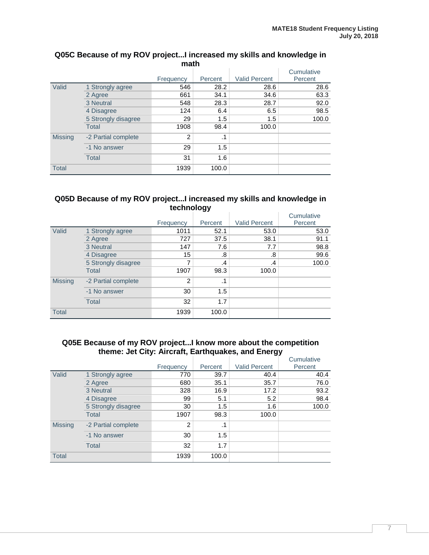|                | math                |           |         |                      |                       |  |  |  |
|----------------|---------------------|-----------|---------|----------------------|-----------------------|--|--|--|
|                |                     | Frequency | Percent | <b>Valid Percent</b> | Cumulative<br>Percent |  |  |  |
| Valid          | 1 Strongly agree    | 546       | 28.2    | 28.6                 | 28.6                  |  |  |  |
|                | 2 Agree             | 661       | 34.1    | 34.6                 | 63.3                  |  |  |  |
|                | 3 Neutral           | 548       | 28.3    | 28.7                 | 92.0                  |  |  |  |
|                | 4 Disagree          | 124       | 6.4     | 6.5                  | 98.5                  |  |  |  |
|                | 5 Strongly disagree | 29        | 1.5     | 1.5                  | 100.0                 |  |  |  |
|                | <b>Total</b>        | 1908      | 98.4    | 100.0                |                       |  |  |  |
| <b>Missing</b> | -2 Partial complete | 2         | .1      |                      |                       |  |  |  |
|                | -1 No answer        | 29        | 1.5     |                      |                       |  |  |  |
|                | <b>Total</b>        | 31        | 1.6     |                      |                       |  |  |  |
| <b>Total</b>   |                     | 1939      | 100.0   |                      |                       |  |  |  |

## **Q05C Because of my ROV project...I increased my skills and knowledge in**

#### **Q05D Because of my ROV project...I increased my skills and knowledge in technology**

|                |                     | Frequency     | Percent       | <b>Valid Percent</b> | Cumulative<br>Percent |
|----------------|---------------------|---------------|---------------|----------------------|-----------------------|
|                |                     |               |               |                      |                       |
| Valid          | 1 Strongly agree    | 1011          | 52.1          | 53.0                 | 53.0                  |
|                | 2 Agree             | 727           | 37.5          | 38.1                 | 91.1                  |
|                | 3 Neutral           | 147           | 7.6           | 7.7                  | 98.8                  |
|                | 4 Disagree          | 15            | .8            | .8                   | 99.6                  |
|                | 5 Strongly disagree | 7             | $\mathcal{A}$ | .4                   | 100.0                 |
|                | Total               | 1907          | 98.3          | 100.0                |                       |
| <b>Missing</b> | -2 Partial complete | $\mathcal{P}$ | $\cdot$ 1     |                      |                       |
|                | -1 No answer        | 30            | 1.5           |                      |                       |
|                | <b>Total</b>        | 32            | 1.7           |                      |                       |
| <b>Total</b>   |                     | 1939          | 100.0         |                      |                       |

#### **Q05E Because of my ROV project...I know more about the competition theme: Jet City: Aircraft, Earthquakes, and Energy**

|                |                     |           |           |                      | Cumulative |
|----------------|---------------------|-----------|-----------|----------------------|------------|
|                |                     | Frequency | Percent   | <b>Valid Percent</b> | Percent    |
| Valid          | 1 Strongly agree    | 770       | 39.7      | 40.4                 | 40.4       |
|                | 2 Agree             | 680       | 35.1      | 35.7                 | 76.0       |
|                | 3 Neutral           | 328       | 16.9      | 17.2                 | 93.2       |
|                | 4 Disagree          | 99        | 5.1       | 5.2                  | 98.4       |
|                | 5 Strongly disagree | 30        | 1.5       | 1.6                  | 100.0      |
|                | <b>Total</b>        | 1907      | 98.3      | 100.0                |            |
| <b>Missing</b> | -2 Partial complete | 2         | $\cdot$ 1 |                      |            |
|                | -1 No answer        | 30        | 1.5       |                      |            |
|                | <b>Total</b>        | 32        | 1.7       |                      |            |
| <b>Total</b>   |                     | 1939      | 100.0     |                      |            |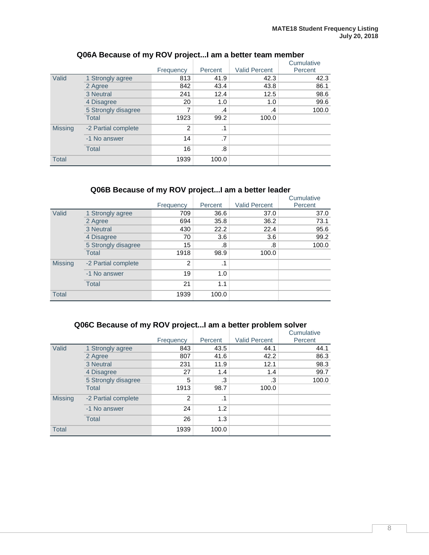|                |                     |                |           |                      | Cumulative |
|----------------|---------------------|----------------|-----------|----------------------|------------|
|                |                     | Frequency      | Percent   | <b>Valid Percent</b> | Percent    |
| Valid          | 1 Strongly agree    | 813            | 41.9      | 42.3                 | 42.3       |
|                | 2 Agree             | 842            | 43.4      | 43.8                 | 86.1       |
|                | 3 Neutral           | 241            | 12.4      | 12.5                 | 98.6       |
|                | 4 Disagree          | 20             | 1.0       | 1.0                  | 99.6       |
|                | 5 Strongly disagree | 7              | .4        | .4                   | 100.0      |
|                | Total               | 1923           | 99.2      | 100.0                |            |
| <b>Missing</b> | -2 Partial complete | $\mathfrak{p}$ | $\cdot$ 1 |                      |            |
|                | -1 No answer        | 14             | .7        |                      |            |
|                | <b>Total</b>        | 16             | .8        |                      |            |
| <b>Total</b>   |                     | 1939           | 100.0     |                      |            |

### **Q06A Because of my ROV project...I am a better team member**

## **Q06B Because of my ROV project...I am a better leader**

|                |                     | Frequency | Percent   | <b>Valid Percent</b> | Cumulative<br>Percent |
|----------------|---------------------|-----------|-----------|----------------------|-----------------------|
| Valid          | 1 Strongly agree    | 709       | 36.6      | 37.0                 | 37.0                  |
|                | 2 Agree             | 694       | 35.8      | 36.2                 | 73.1                  |
|                | 3 Neutral           | 430       | 22.2      | 22.4                 | 95.6                  |
|                | 4 Disagree          | 70        | 3.6       | 3.6                  | 99.2                  |
|                | 5 Strongly disagree | 15        | .8        | .8                   | 100.0                 |
|                | <b>Total</b>        | 1918      | 98.9      | 100.0                |                       |
| <b>Missing</b> | -2 Partial complete | 2         | $\cdot$ 1 |                      |                       |
|                | -1 No answer        | 19        | 1.0       |                      |                       |
|                | <b>Total</b>        | 21        | 1.1       |                      |                       |
| <b>Total</b>   |                     | 1939      | 100.0     |                      |                       |

## **Q06C Because of my ROV project...I am a better problem solver**

|                |                     |           |         |                      | Cumulative |
|----------------|---------------------|-----------|---------|----------------------|------------|
|                |                     | Frequency | Percent | <b>Valid Percent</b> | Percent    |
| Valid          | 1 Strongly agree    | 843       | 43.5    | 44.1                 | 44.1       |
|                | 2 Agree             | 807       | 41.6    | 42.2                 | 86.3       |
|                | 3 Neutral           | 231       | 11.9    | 12.1                 | 98.3       |
|                | 4 Disagree          | 27        | 1.4     | 1.4                  | 99.7       |
|                | 5 Strongly disagree | 5         | .3      | .3                   | 100.0      |
|                | <b>Total</b>        | 1913      | 98.7    | 100.0                |            |
| <b>Missing</b> | -2 Partial complete | 2         | .1      |                      |            |
|                | -1 No answer        | 24        | 1.2     |                      |            |
|                | <b>Total</b>        | 26        | 1.3     |                      |            |
| <b>Total</b>   |                     | 1939      | 100.0   |                      |            |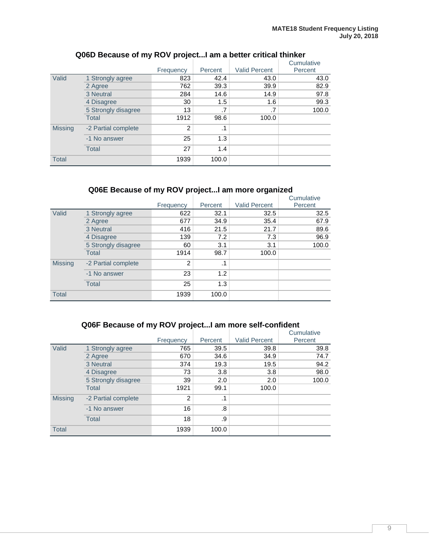|                |                     | Frequency | Percent   | <b>Valid Percent</b> | Cumulative<br>Percent |
|----------------|---------------------|-----------|-----------|----------------------|-----------------------|
| Valid          | 1 Strongly agree    | 823       | 42.4      | 43.0                 | 43.0                  |
|                | 2 Agree             | 762       | 39.3      | 39.9                 | 82.9                  |
|                | 3 Neutral           | 284       | 14.6      | 14.9                 | 97.8                  |
|                | 4 Disagree          | 30        | 1.5       | 1.6                  | 99.3                  |
|                | 5 Strongly disagree | 13        | .7        | .7                   | 100.0                 |
|                | <b>Total</b>        | 1912      | 98.6      | 100.0                |                       |
| <b>Missing</b> | -2 Partial complete | 2         | $\cdot$ 1 |                      |                       |
|                | -1 No answer        | 25        | 1.3       |                      |                       |
|                | Total               | 27        | 1.4       |                      |                       |
| <b>Total</b>   |                     | 1939      | 100.0     |                      |                       |

### **Q06D Because of my ROV project...I am a better critical thinker**

## **Q06E Because of my ROV project...I am more organized**

|                |                     | Frequency | Percent   | <b>Valid Percent</b> | Cumulative<br>Percent |
|----------------|---------------------|-----------|-----------|----------------------|-----------------------|
| Valid          | 1 Strongly agree    | 622       | 32.1      | 32.5                 | 32.5                  |
|                | 2 Agree             | 677       | 34.9      | 35.4                 | 67.9                  |
|                | 3 Neutral           | 416       | 21.5      | 21.7                 | 89.6                  |
|                | 4 Disagree          | 139       | 7.2       | 7.3                  | 96.9                  |
|                | 5 Strongly disagree | 60        | 3.1       | 3.1                  | 100.0                 |
|                | <b>Total</b>        | 1914      | 98.7      | 100.0                |                       |
| <b>Missing</b> | -2 Partial complete | 2         | $\cdot$ 1 |                      |                       |
|                | -1 No answer        | 23        | 1.2       |                      |                       |
|                | <b>Total</b>        | 25        | 1.3       |                      |                       |
| <b>Total</b>   |                     | 1939      | 100.0     |                      |                       |

## **Q06F Because of my ROV project...I am more self-confident**

|                |                     |                |           |                      | Cumulative |
|----------------|---------------------|----------------|-----------|----------------------|------------|
|                |                     | Frequency      | Percent   | <b>Valid Percent</b> | Percent    |
| Valid          | 1 Strongly agree    | 765            | 39.5      | 39.8                 | 39.8       |
|                | 2 Agree             | 670            | 34.6      | 34.9                 | 74.7       |
|                | 3 Neutral           | 374            | 19.3      | 19.5                 | 94.2       |
|                | 4 Disagree          | 73             | 3.8       | 3.8                  | 98.0       |
|                | 5 Strongly disagree | 39             | 2.0       | 2.0                  | 100.0      |
|                | <b>Total</b>        | 1921           | 99.1      | 100.0                |            |
| <b>Missing</b> | -2 Partial complete | $\overline{2}$ | $\cdot$ 1 |                      |            |
|                | -1 No answer        | 16             | .8        |                      |            |
|                | <b>Total</b>        | 18             | .9        |                      |            |
| <b>Total</b>   |                     | 1939           | 100.0     |                      |            |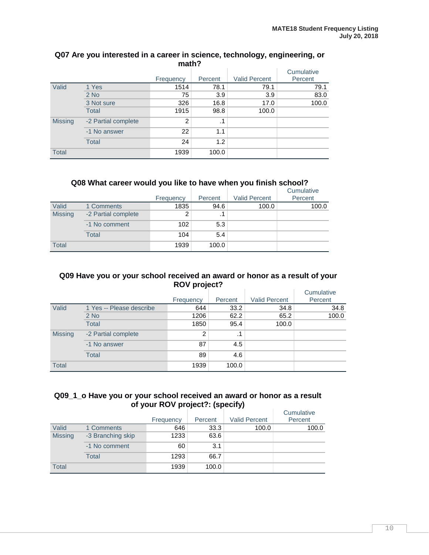|                | math?               |           |         |                      |            |  |  |  |  |
|----------------|---------------------|-----------|---------|----------------------|------------|--|--|--|--|
|                |                     |           |         |                      | Cumulative |  |  |  |  |
|                |                     | Frequency | Percent | <b>Valid Percent</b> | Percent    |  |  |  |  |
| Valid          | 1 Yes               | 1514      | 78.1    | 79.1                 | 79.1       |  |  |  |  |
|                | $2$ No              | 75        | 3.9     | 3.9                  | 83.0       |  |  |  |  |
|                | 3 Not sure          | 326       | 16.8    | 17.0                 | 100.0      |  |  |  |  |
|                | <b>Total</b>        | 1915      | 98.8    | 100.0                |            |  |  |  |  |
| <b>Missing</b> | -2 Partial complete | 2         | .1      |                      |            |  |  |  |  |
|                | -1 No answer        | 22        | 1.1     |                      |            |  |  |  |  |
|                | <b>Total</b>        | 24        | 1.2     |                      |            |  |  |  |  |
| <b>Total</b>   |                     | 1939      | 100.0   |                      |            |  |  |  |  |

## **Q07 Are you interested in a career in science, technology, engineering, or**

#### **Q08 What career would you like to have when you finish school?**

|                |                     |           |           |                      | Cumulative |
|----------------|---------------------|-----------|-----------|----------------------|------------|
|                |                     | Frequency | Percent   | <b>Valid Percent</b> | Percent    |
| Valid          | 1 Comments          | 1835      | 94.6      | 100.0                | 100.0      |
| <b>Missing</b> | -2 Partial complete | 2         | $\cdot$ 1 |                      |            |
|                | -1 No comment       | 102       | 5.3       |                      |            |
|                | Total               | 104       | 5.4       |                      |            |
| <b>Total</b>   |                     | 1939      | 100.0     |                      |            |

#### **Q09 Have you or your school received an award or honor as a result of your ROV project?**

|                |                          | Frequency | Percent   | <b>Valid Percent</b> | Cumulative<br>Percent |
|----------------|--------------------------|-----------|-----------|----------------------|-----------------------|
| Valid          | 1 Yes -- Please describe | 644       | 33.2      | 34.8                 | 34.8                  |
|                | $2$ No                   | 1206      | 62.2      | 65.2                 | 100.0                 |
|                | <b>Total</b>             | 1850      | 95.4      | 100.0                |                       |
| <b>Missing</b> | -2 Partial complete      | 2         | $\cdot$ 1 |                      |                       |
|                | -1 No answer             | 87        | 4.5       |                      |                       |
|                | <b>Total</b>             | 89        | 4.6       |                      |                       |
| <b>Total</b>   |                          | 1939      | 100.0     |                      |                       |

#### **Q09\_1\_o Have you or your school received an award or honor as a result of your ROV project?: (specify)**

|                |                   |           |         |                      | Cumulative |
|----------------|-------------------|-----------|---------|----------------------|------------|
|                |                   | Frequency | Percent | <b>Valid Percent</b> | Percent    |
| Valid          | 1 Comments        | 646       | 33.3    | 100.0                | 100.0      |
| <b>Missing</b> | -3 Branching skip | 1233      | 63.6    |                      |            |
|                | -1 No comment     | 60        | 3.1     |                      |            |
|                | Total             | 1293      | 66.7    |                      |            |
| <b>Total</b>   |                   | 1939      | 100.0   |                      |            |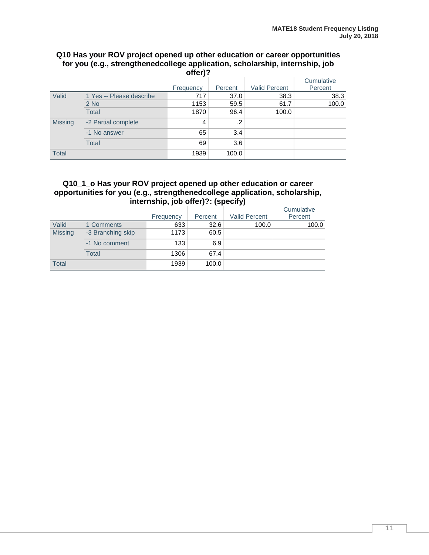#### **Q10 Has your ROV project opened up other education or career opportunities for you (e.g., strengthenedcollege application, scholarship, internship, job offer)?**

|                | VIIGI J :                |           |         |                      |                       |  |  |
|----------------|--------------------------|-----------|---------|----------------------|-----------------------|--|--|
|                |                          | Frequency | Percent | <b>Valid Percent</b> | Cumulative<br>Percent |  |  |
| Valid          | 1 Yes -- Please describe | 717       | 37.0    | 38.3                 | 38.3                  |  |  |
|                | $2$ No                   | 1153      | 59.5    | 61.7                 | 100.0                 |  |  |
|                | <b>Total</b>             | 1870      | 96.4    | 100.0                |                       |  |  |
| <b>Missing</b> | -2 Partial complete      | 4         | .2      |                      |                       |  |  |
|                | -1 No answer             | 65        | 3.4     |                      |                       |  |  |
|                | <b>Total</b>             | 69        | 3.6     |                      |                       |  |  |
| <b>Total</b>   |                          | 1939      | 100.0   |                      |                       |  |  |

#### **Q10\_1\_o Has your ROV project opened up other education or career opportunities for you (e.g., strengthenedcollege application, scholarship, internship, job offer)?: (specify)**

|                |                   |           |         |                      | Cumulative |
|----------------|-------------------|-----------|---------|----------------------|------------|
|                |                   | Frequency | Percent | <b>Valid Percent</b> | Percent    |
| Valid          | 1 Comments        | 633       | 32.6    | 100.0                | 100.0      |
| <b>Missing</b> | -3 Branching skip | 1173      | 60.5    |                      |            |
|                | -1 No comment     | 133       | 6.9     |                      |            |
|                | Total             | 1306      | 67.4    |                      |            |
| <b>Total</b>   |                   | 1939      | 100.0   |                      |            |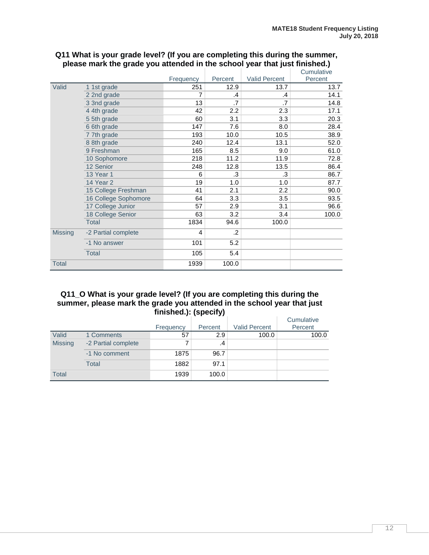|                |                      |           |         |                      | Cumulative |
|----------------|----------------------|-----------|---------|----------------------|------------|
|                |                      | Frequency | Percent | <b>Valid Percent</b> | Percent    |
| Valid          | 1 1st grade          | 251       | 12.9    | 13.7                 | 13.7       |
|                | 2 2nd grade          | 7         | .4      | .4                   | 14.1       |
|                | 3 3nd grade          | 13        | .7      | .7                   | 14.8       |
|                | 4 4th grade          | 42        | 2.2     | 2.3                  | 17.1       |
|                | 55th grade           | 60        | 3.1     | 3.3                  | 20.3       |
|                | 6 6th grade          | 147       | 7.6     | 8.0                  | 28.4       |
|                | 77th grade           | 193       | 10.0    | 10.5                 | 38.9       |
|                | 8 8th grade          | 240       | 12.4    | 13.1                 | 52.0       |
|                | 9 Freshman           | 165       | 8.5     | 9.0                  | 61.0       |
|                | 10 Sophomore         | 218       | 11.2    | 11.9                 | 72.8       |
|                | 12 Senior            | 248       | 12.8    | 13.5                 | 86.4       |
|                | <b>13 Year 1</b>     | 6         | .3      | .3                   | 86.7       |
|                | 14 Year 2            | 19        | 1.0     | 1.0                  | 87.7       |
|                | 15 College Freshman  | 41        | 2.1     | 2.2                  | 90.0       |
|                | 16 College Sophomore | 64        | 3.3     | 3.5                  | 93.5       |
|                | 17 College Junior    | 57        | 2.9     | 3.1                  | 96.6       |
|                | 18 College Senior    | 63        | 3.2     | 3.4                  | 100.0      |
|                | <b>Total</b>         | 1834      | 94.6    | 100.0                |            |
| <b>Missing</b> | -2 Partial complete  | 4         | $\cdot$ |                      |            |
|                | -1 No answer         | 101       | 5.2     |                      |            |
|                | <b>Total</b>         | 105       | 5.4     |                      |            |
| <b>Total</b>   |                      | 1939      | 100.0   |                      |            |

#### **Q11 What is your grade level? (If you are completing this during the summer, please mark the grade you attended in the school year that just finished.)**

#### **Q11\_O What is your grade level? (If you are completing this during the summer, please mark the grade you attended in the school year that just finished.): (specify)**

|                |                     | Frequency | Percent | <b>Valid Percent</b> | Cumulative<br>Percent |
|----------------|---------------------|-----------|---------|----------------------|-----------------------|
| Valid          | 1 Comments          | 57        | 2.9     | 100.0                | 100.0                 |
| <b>Missing</b> | -2 Partial complete |           | .4      |                      |                       |
|                | -1 No comment       | 1875      | 96.7    |                      |                       |
|                | Total               | 1882      | 97.1    |                      |                       |
| <b>Total</b>   |                     | 1939      | 100.0   |                      |                       |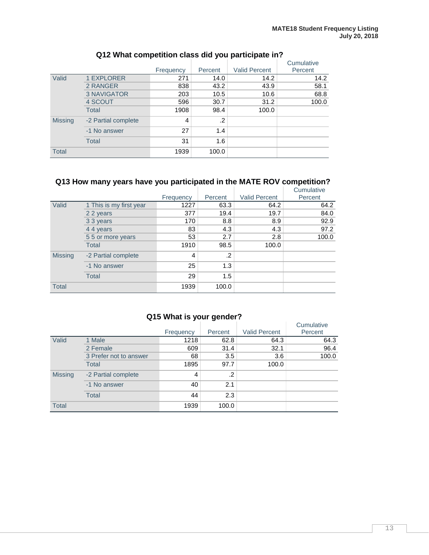|                |                     |           |         |                      | Cumulative |
|----------------|---------------------|-----------|---------|----------------------|------------|
|                |                     | Frequency | Percent | <b>Valid Percent</b> | Percent    |
| Valid          | <b>1 EXPLORER</b>   | 271       | 14.0    | 14.2                 | 14.2       |
|                | 2 RANGER            | 838       | 43.2    | 43.9                 | 58.1       |
|                | <b>3 NAVIGATOR</b>  | 203       | 10.5    | 10.6                 | 68.8       |
|                | 4 SCOUT             | 596       | 30.7    | 31.2                 | 100.0      |
|                | <b>Total</b>        | 1908      | 98.4    | 100.0                |            |
| <b>Missing</b> | -2 Partial complete | 4         | .2      |                      |            |
|                | -1 No answer        | 27        | 1.4     |                      |            |
|                | <b>Total</b>        | 31        | 1.6     |                      |            |
| <b>Total</b>   |                     | 1939      | 100.0   |                      |            |

## **Q12 What competition class did you participate in?**

## **Q13 How many years have you participated in the MATE ROV competition?**

|                |                         | Frequency | Percent | <b>Valid Percent</b> | Cumulative<br>Percent |
|----------------|-------------------------|-----------|---------|----------------------|-----------------------|
| Valid          | 1 This is my first year | 1227      | 63.3    | 64.2                 | 64.2                  |
|                | 2 2 years               | 377       | 19.4    | 19.7                 | 84.0                  |
|                | 3 3 years               | 170       | 8.8     | 8.9                  | 92.9                  |
|                | 44 years                | 83        | 4.3     | 4.3                  | 97.2                  |
|                | 55 or more years        | 53        | 2.7     | 2.8                  | 100.0                 |
|                | <b>Total</b>            | 1910      | 98.5    | 100.0                |                       |
| <b>Missing</b> | -2 Partial complete     | 4         | .2      |                      |                       |
|                | -1 No answer            | 25        | 1.3     |                      |                       |
|                | Total                   | 29        | 1.5     |                      |                       |
| <b>Total</b>   |                         | 1939      | 100.0   |                      |                       |

## **Q15 What is your gender?**

|                |                        | Frequency | Percent    | <b>Valid Percent</b> | Cumulative<br>Percent |
|----------------|------------------------|-----------|------------|----------------------|-----------------------|
| Valid          | 1 Male                 | 1218      | 62.8       | 64.3                 | 64.3                  |
|                | 2 Female               | 609       | 31.4       | 32.1                 | 96.4                  |
|                | 3 Prefer not to answer | 68        | 3.5        | 3.6                  | 100.0                 |
|                | <b>Total</b>           | 1895      | 97.7       | 100.0                |                       |
| <b>Missing</b> | -2 Partial complete    | 4         | $\cdot$ .2 |                      |                       |
|                | -1 No answer           | 40        | 2.1        |                      |                       |
|                | Total                  | 44        | 2.3        |                      |                       |
| <b>Total</b>   |                        | 1939      | 100.0      |                      |                       |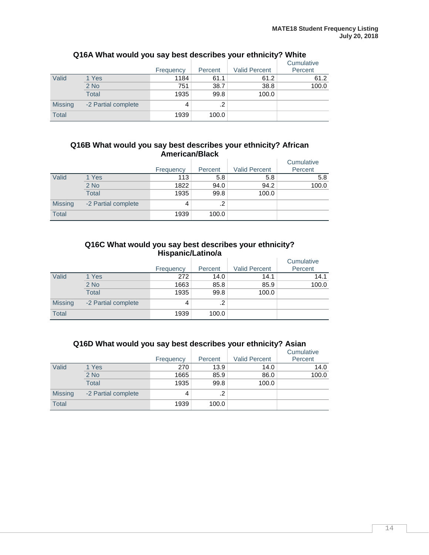|                |                     | Frequency | Percent | <b>Valid Percent</b> | Cumulative<br>Percent |
|----------------|---------------------|-----------|---------|----------------------|-----------------------|
| Valid          | 1 Yes               | 1184      | 61.1    | 61.2                 | 61.2                  |
|                | $2$ No              | 751       | 38.7    | 38.8                 | 100.0                 |
|                | <b>Total</b>        | 1935      | 99.8    | 100.0                |                       |
| <b>Missing</b> | -2 Partial complete | 4         | .2      |                      |                       |
| <b>Total</b>   |                     | 1939      | 100.0   |                      |                       |

## **Q16A What would you say best describes your ethnicity? White**

#### **Q16B What would you say best describes your ethnicity? African American/Black**

|                |                     | Frequency | Percent | <b>Valid Percent</b> | Cumulative<br>Percent |
|----------------|---------------------|-----------|---------|----------------------|-----------------------|
| Valid          | 1 Yes               | 113       | 5.8     | 5.8                  | 5.8                   |
|                | $2$ No              | 1822      | 94.0    | 94.2                 | 100.0                 |
|                | Total               | 1935      | 99.8    | 100.0                |                       |
| <b>Missing</b> | -2 Partial complete | 4         | $\cdot$ |                      |                       |
| <b>Total</b>   |                     | 1939      | 100.0   |                      |                       |

#### **Q16C What would you say best describes your ethnicity? Hispanic/Latino/a**

|                |                     |           |            |                      | Cumulative |
|----------------|---------------------|-----------|------------|----------------------|------------|
|                |                     | Frequency | Percent    | <b>Valid Percent</b> | Percent    |
| Valid          | 1 Yes               | 272       | 14.0       | 14.1                 | 14.1       |
|                | $2$ No              | 1663      | 85.8       | 85.9                 | 100.0      |
|                | Total               | 1935      | 99.8       | 100.0                |            |
| <b>Missing</b> | -2 Partial complete | 4         | $\cdot$ .2 |                      |            |
| Total          |                     | 1939      | 100.0      |                      |            |

| Q16D What would you say best describes your ethnicity? Asian |  |  |  |
|--------------------------------------------------------------|--|--|--|
|--------------------------------------------------------------|--|--|--|

|                |                     | Frequency | Percent | <b>Valid Percent</b> | Cumulative<br>Percent |
|----------------|---------------------|-----------|---------|----------------------|-----------------------|
| Valid          | 1 Yes               | 270       | 13.9    | 14.0                 | 14.0                  |
|                | $2$ No              | 1665      | 85.9    | 86.0                 | 100.0                 |
|                | Total               | 1935      | 99.8    | 100.0                |                       |
| <b>Missing</b> | -2 Partial complete | 4         | $\cdot$ |                      |                       |
| <b>Total</b>   |                     | 1939      | 100.0   |                      |                       |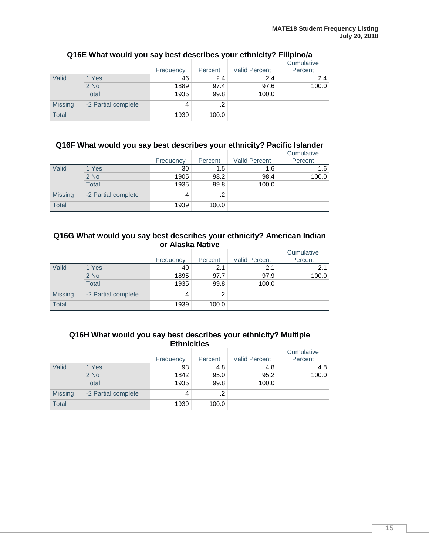|                |                     | Frequency | Percent | <b>Valid Percent</b> | Cumulative<br>Percent |
|----------------|---------------------|-----------|---------|----------------------|-----------------------|
| Valid          | 1 Yes               | 46        | 2.4     | 2.4                  | 2.4                   |
|                | $2$ No              | 1889      | 97.4    | 97.6                 | 100.0                 |
|                | <b>Total</b>        | 1935      | 99.8    | 100.0                |                       |
| <b>Missing</b> | -2 Partial complete | 4         | .2      |                      |                       |
| <b>Total</b>   |                     | 1939      | 100.0   |                      |                       |

## **Q16E What would you say best describes your ethnicity? Filipino/a**

### **Q16F What would you say best describes your ethnicity? Pacific Islander**

|                |                     | Frequency | Percent | <b>Valid Percent</b> | Cumulative<br>Percent |
|----------------|---------------------|-----------|---------|----------------------|-----------------------|
| Valid          | 1 Yes               | 30        | 1.5     | 1.6                  | 1.6                   |
|                | 2 No                | 1905      | 98.2    | 98.4                 | 100.0                 |
|                | Total               | 1935      | 99.8    | 100.0                |                       |
| <b>Missing</b> | -2 Partial complete | 4         | ົ<br>ے. |                      |                       |
| <b>Total</b>   |                     | 1939      | 100.0   |                      |                       |

#### **Q16G What would you say best describes your ethnicity? American Indian or Alaska Native**

|                |                     | Frequency | Percent    | <b>Valid Percent</b> | Cumulative<br>Percent |
|----------------|---------------------|-----------|------------|----------------------|-----------------------|
| Valid          |                     |           |            | 2.1                  |                       |
|                | 1 Yes               | 40        | 2.1        |                      | 2.1                   |
|                | $2$ No              | 1895      | 97.7       | 97.9                 | 100.0                 |
|                | Total               | 1935      | 99.8       | 100.0                |                       |
| <b>Missing</b> | -2 Partial complete | 4         | $\cdot$ .2 |                      |                       |
| <b>Total</b>   |                     | 1939      | 100.0      |                      |                       |

#### **Q16H What would you say best describes your ethnicity? Multiple Ethnicities**

|                |                     | Frequency | Percent | <b>Valid Percent</b> | Cumulative<br>Percent |
|----------------|---------------------|-----------|---------|----------------------|-----------------------|
| Valid          | 1 Yes               | 93        | 4.8     | 4.8                  | 4.8                   |
|                | 2 No                | 1842      | 95.0    | 95.2                 | 100.0                 |
|                | <b>Total</b>        | 1935      | 99.8    | 100.0                |                       |
| <b>Missing</b> | -2 Partial complete | 4         | .2      |                      |                       |
| <b>Total</b>   |                     | 1939      | 100.0   |                      |                       |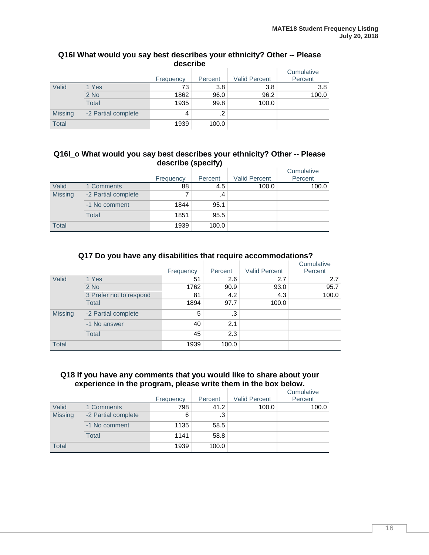|                | describe            |           |         |                      |                       |  |  |  |
|----------------|---------------------|-----------|---------|----------------------|-----------------------|--|--|--|
|                |                     | Frequency | Percent | <b>Valid Percent</b> | Cumulative<br>Percent |  |  |  |
| Valid          | 1 Yes               | 73        | 3.8     | 3.8                  | 3.8                   |  |  |  |
|                | $2$ No              | 1862      | 96.0    | 96.2                 | 100.0                 |  |  |  |
|                | <b>Total</b>        | 1935      | 99.8    | 100.0                |                       |  |  |  |
| <b>Missing</b> | -2 Partial complete | 4         | .2      |                      |                       |  |  |  |
| <b>Total</b>   |                     | 1939      | 100.0   |                      |                       |  |  |  |

# **Q16I What would you say best describes your ethnicity? Other -- Please**

#### **Q16I\_o What would you say best describes your ethnicity? Other -- Please describe (specify)**

|                |                     |           |         |                      | Cumulative |
|----------------|---------------------|-----------|---------|----------------------|------------|
|                |                     | Frequency | Percent | <b>Valid Percent</b> | Percent    |
| Valid          | 1 Comments          | 88        | 4.5     | 100.0                | 100.0      |
| <b>Missing</b> | -2 Partial complete | 7         | .4      |                      |            |
|                | -1 No comment       | 1844      | 95.1    |                      |            |
|                | Total               | 1851      | 95.5    |                      |            |
| <b>Total</b>   |                     | 1939      | 100.0   |                      |            |

#### **Q17 Do you have any disabilities that require accommodations?**

|                |                         |           |         |                      | Cumulative |
|----------------|-------------------------|-----------|---------|----------------------|------------|
|                |                         | Frequency | Percent | <b>Valid Percent</b> | Percent    |
| Valid          | 1 Yes                   | 51        | 2.6     | 2.7                  | 2.7        |
|                | $2$ No                  | 1762      | 90.9    | 93.0                 | 95.7       |
|                | 3 Prefer not to respond | 81        | 4.2     | 4.3                  | 100.0      |
|                | <b>Total</b>            | 1894      | 97.7    | 100.0                |            |
| <b>Missing</b> | -2 Partial complete     | 5         | .3      |                      |            |
|                | -1 No answer            | 40        | 2.1     |                      |            |
|                | <b>Total</b>            | 45        | 2.3     |                      |            |
| <b>Total</b>   |                         | 1939      | 100.0   |                      |            |

#### **Q18 If you have any comments that you would like to share about your experience in the program, please write them in the box below.**

|                |                     | Frequency | Percent | <b>Valid Percent</b> | Cumulative<br>Percent |
|----------------|---------------------|-----------|---------|----------------------|-----------------------|
| Valid          | 1 Comments          | 798       | 41.2    | 100.0                | 100.0                 |
| <b>Missing</b> | -2 Partial complete | 6         | .3      |                      |                       |
|                | -1 No comment       | 1135      | 58.5    |                      |                       |
|                | Total               | 1141      | 58.8    |                      |                       |
| Total          |                     | 1939      | 100.0   |                      |                       |